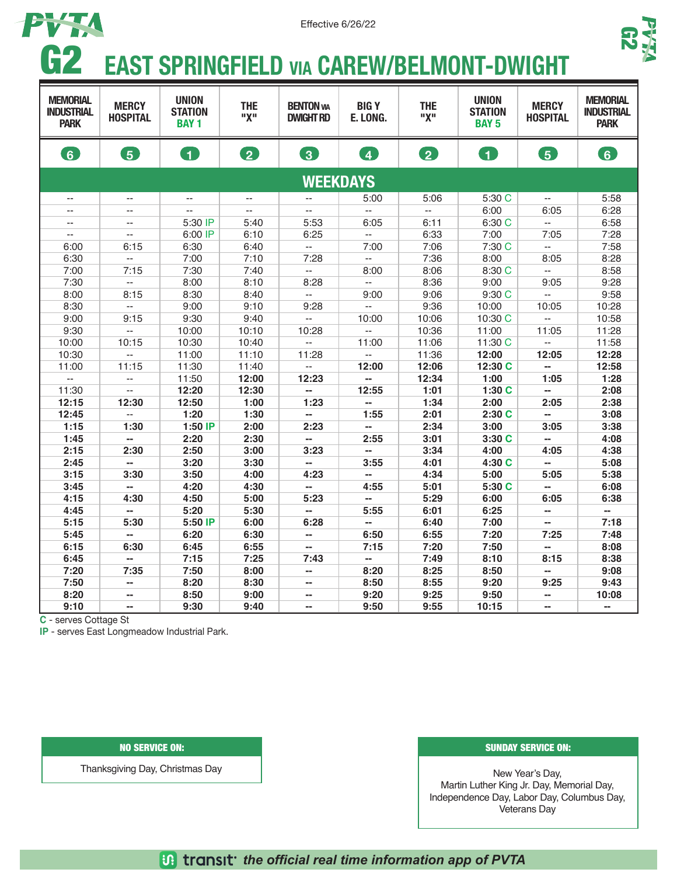



# G2 **EAST SPRINGFIELD via CAREW/BELMONT-DWIGHT**

| <b>MEMORIAL</b><br><b>INDUSTRIAL</b><br><b>PARK</b> | <b>MERCY</b><br><b>HOSPITAL</b> | <b>UNION</b><br><b>STATION</b><br><b>BAY1</b> | <b>THE</b><br>"X" | <b>BENTON VIA</b><br><b>DWIGHT RD</b> | <b>BIGY</b><br>E. LONG. | <b>THE</b><br>"X" | <b>UNION</b><br><b>STATION</b><br><b>BAY 5</b> | <b>MERCY</b><br><b>HOSPITAL</b> | <b>MEMORIAL</b><br><b>INDUSTRIAL</b><br><b>PARK</b> |
|-----------------------------------------------------|---------------------------------|-----------------------------------------------|-------------------|---------------------------------------|-------------------------|-------------------|------------------------------------------------|---------------------------------|-----------------------------------------------------|
| 6                                                   | 6                               | O                                             | 2                 | 3                                     | $\overline{\mathbf{A}}$ | 2                 | GI                                             | 6                               | 6                                                   |
| <b>WEEKDAYS</b>                                     |                                 |                                               |                   |                                       |                         |                   |                                                |                                 |                                                     |
| $-$                                                 | $\overline{\phantom{a}}$        | $\overline{\phantom{a}}$                      | $-$               | $-$                                   | 5:00                    | 5:06              | 5:30 C                                         | $\overline{a}$                  | 5:58                                                |
| $\overline{a}$                                      | $-$                             | Ξ.                                            | -−                |                                       | u.                      | $\overline{a}$    | 6:00                                           | 6:05                            | 6:28                                                |
| $\overline{a}$                                      | $\overline{\phantom{a}}$        | 5:30 IP                                       | 5:40              | 5:53                                  | 6:05                    | 6:11              | 6:30 C                                         | ÷.                              | 6:58                                                |
| $-$                                                 | $\overline{\phantom{a}}$        | 6:00 IP                                       | 6:10              | 6:25                                  | u.                      | 6:33              | 7:00                                           | 7:05                            | 7:28                                                |
| 6:00                                                | 6:15                            | 6:30                                          | 6:40              | $\overline{\phantom{a}}$              | 7:00                    | 7:06              | 7:30 C                                         | ÷.                              | 7:58                                                |
| 6:30                                                | u.                              | 7:00                                          | 7:10              | 7:28                                  | Ξ.                      | 7:36              | 8:00                                           | 8:05                            | 8:28                                                |
| 7:00                                                | 7:15                            | 7:30                                          | 7:40              | $\overline{a}$                        | 8:00                    | 8:06              | 8:30 C                                         | -−                              | 8:58                                                |
| 7:30                                                | $\mathbb{Z}^{\mathbb{Z}}$       | 8:00                                          | 8:10              | 8:28                                  | u.                      | 8:36              | 9:00                                           | 9:05                            | 9:28                                                |
| 8:00                                                | 8:15                            | 8:30                                          | 8:40              | $\overline{a}$                        | 9:00                    | 9:06              | 9:30 C                                         | $\overline{a}$                  | 9:58                                                |
| 8:30                                                | $\mathbb{Z}^{\mathbb{Z}}$       | 9:00                                          | 9:10              | 9:28                                  | u.                      | 9:36              | 10:00                                          | 10:05                           | 10:28                                               |
| 9:00                                                | 9:15                            | 9:30                                          | 9:40              | $\mathbf{u}$                          | 10:00                   | 10:06             | 10:30 C                                        | ÷.                              | 10:58                                               |
| 9:30                                                | u.                              | 10:00                                         | 10:10             | 10:28                                 | Ш,                      | 10:36             | 11:00                                          | 11:05                           | 11:28                                               |
| 10:00                                               | 10:15                           | 10:30                                         | 10:40             | $\sim$                                | 11:00                   | 11:06             | 11:30 C                                        | $\sim$                          | 11:58                                               |
| 10:30                                               | $\mathbf{u}$                    | 11:00                                         | 11:10             | 11:28                                 | uu.                     | 11:36             | 12:00                                          | 12:05                           | 12:28                                               |
| 11:00                                               | 11:15                           | 11:30                                         | 11:40             |                                       | 12:00                   | 12:06             | 12:30 C                                        | --                              | 12:58                                               |
| Ξ.                                                  | Ш,                              | 11:50                                         | 12:00             | 12:23                                 |                         | 12:34             | 1:00                                           | 1:05                            | 1:28                                                |
| 11:30                                               | $-$                             | 12:20                                         | 12:30             |                                       | 12:55                   | 1:01              | 1:30C                                          | --                              | 2:08                                                |
| 12:15                                               | 12:30                           | 12:50                                         | 1:00              | 1:23                                  | --                      | 1:34              | 2:00                                           | 2:05                            | 2:38                                                |
| 12:45                                               | Ш,                              | 1:20                                          | 1:30              | --                                    | 1:55                    | 2:01              | 2:30 C                                         | --                              | 3:08                                                |
| 1:15                                                | 1:30                            | 1:50 IP                                       | 2:00              | 2:23                                  | --                      | 2:34              | 3:00                                           | 3:05                            | 3:38                                                |
| 1:45                                                | --                              | 2:20                                          | 2:30              | --                                    | 2:55                    | 3:01              | 3:30 C                                         | --                              | 4:08                                                |
| 2:15                                                | 2:30                            | 2:50                                          | 3:00              | 3:23                                  | Ξ.                      | 3:34              | 4:00                                           | 4:05                            | 4:38                                                |
| 2:45                                                | $\overline{a}$                  | 3:20                                          | 3:30              |                                       | 3:55                    | 4:01              | 4:30 C                                         | --                              | 5:08                                                |
| 3:15                                                | 3:30                            | 3:50                                          | 4:00              | 4:23                                  | --                      | 4:34              | 5:00                                           | 5:05                            | 5:38                                                |
| 3:45                                                | --                              | 4:20                                          | 4:30              | --                                    | 4:55                    | 5:01              | 5:30 C                                         | --                              | 6:08                                                |
| 4:15                                                | 4:30                            | 4:50                                          | 5:00              | 5:23                                  | --                      | 5:29              | 6:00                                           | 6:05                            | 6:38                                                |
| 4:45                                                | $\overline{a}$                  | 5:20                                          | 5:30              | $\overline{a}$                        | 5:55                    | 6:01              | 6:25                                           | --                              | --                                                  |
| 5:15                                                | 5:30                            | 5:50 IP                                       | 6:00              | 6:28                                  | --                      | 6:40              | 7:00                                           | --                              | 7:18                                                |
| 5:45                                                | $\overline{\phantom{a}}$        | 6:20                                          | 6:30              | --                                    | 6:50                    | 6:55              | 7:20                                           | 7:25                            | 7:48                                                |
| 6:15                                                | 6:30                            | 6:45                                          | 6:55              | --                                    | 7:15                    | 7:20              | 7:50                                           | --                              | 8:08                                                |
| 6:45                                                | $\overline{a}$                  | 7:15                                          | 7:25              | 7:43                                  | --                      | 7:49              | 8:10                                           | 8:15                            | 8:38                                                |
| 7:20                                                | 7:35                            | 7:50                                          | 8:00              | $\overline{a}$                        | 8:20                    | 8:25              | 8:50                                           | --                              | 9:08                                                |
| 7:50                                                | $\overline{a}$                  | 8:20                                          | 8:30              | $\sim$                                | 8:50                    | 8:55              | 9:20                                           | 9:25                            | 9:43                                                |
| 8:20                                                | --                              | 8:50                                          | 9:00              | --                                    | 9:20                    | 9:25              | 9:50                                           | --                              | 10:08                                               |
| 9:10                                                | ⊷                               | 9:30                                          | 9:40              | --                                    | 9:50                    | 9:55              | 10:15                                          | --                              | −−                                                  |

**C** - serves Cottage St

**IP** - serves East Longmeadow Industrial Park.

NO SERVICE ON:

Thanksgiving Day, Christmas Day

SUNDAY SERVICE ON:

New Year's Day, Martin Luther King Jr. Day, Memorial Day, Independence Day, Labor Day, Columbus Day, Veterans Day

*the official real time information app of PVTA*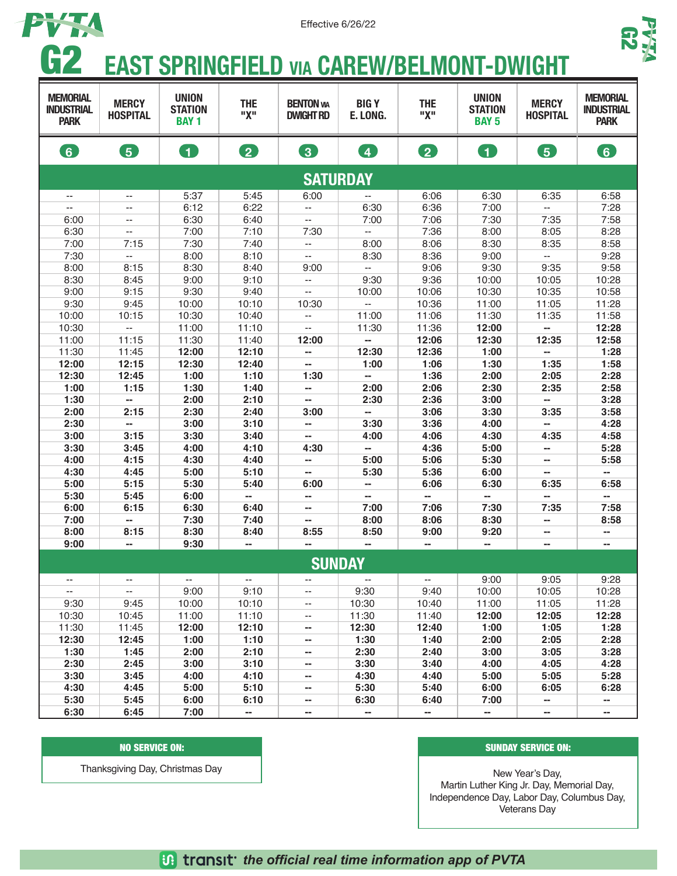



## G2 **EAST SPRINGFIELD via CAREW/BELMONT-DWIGHT**

| <b>MEMORIAL</b><br><b>INDUSTRIAL</b><br><b>PARK</b> | <b>MERCY</b><br><b>HOSPITAL</b> | <b>UNION</b><br><b>STATION</b><br><b>BAY1</b> | <b>THE</b><br>"X" | <b>BENTON VIA</b><br><b>DWIGHT RD</b> | <b>BIGY</b><br>E. LONG.  | <b>THE</b><br>"X" | <b>UNION</b><br><b>STATION</b><br><b>BAY 5</b> | <b>MERCY</b><br><b>HOSPITAL</b> | <b>MEMORIAL</b><br><b>INDUSTRIAL</b><br><b>PARK</b> |
|-----------------------------------------------------|---------------------------------|-----------------------------------------------|-------------------|---------------------------------------|--------------------------|-------------------|------------------------------------------------|---------------------------------|-----------------------------------------------------|
| 6                                                   | 5                               | G                                             | 2                 | $\boxed{3}$                           | $\left( 4 \right)$       | 2                 | O                                              | 5                               | 6                                                   |
| <b>SATURDAY</b>                                     |                                 |                                               |                   |                                       |                          |                   |                                                |                                 |                                                     |
| $-$                                                 | --                              | 5:37                                          | 5:45              | 6:00                                  |                          | 6:06              | 6:30                                           | 6:35                            | 6:58                                                |
| $\overline{\phantom{a}}$                            | --                              | 6:12                                          | 6:22              | --                                    | 6:30                     | 6:36              | 7:00                                           | ш.,                             | 7:28                                                |
| 6:00                                                | --                              | 6:30                                          | 6:40              |                                       | 7:00                     | 7:06              | 7:30                                           | 7:35                            | 7:58                                                |
| 6:30                                                | --                              | 7:00                                          | 7:10              | 7:30                                  | Ξ.                       | 7:36              | 8:00                                           | 8:05                            | 8:28                                                |
| 7:00                                                | 7:15                            | 7:30                                          | 7:40              | --                                    | 8:00                     | 8:06              | 8:30                                           | 8:35                            | 8:58                                                |
| 7:30                                                | Ξ.                              | 8:00                                          | 8:10              | $\mathbb{L}$                          | 8:30                     | 8:36              | 9:00                                           | Ξ.                              | 9:28                                                |
| 8:00                                                | 8:15                            | 8:30                                          | 8:40              | 9:00                                  | u.                       | 9:06              | 9:30                                           | 9:35                            | 9:58                                                |
| 8:30                                                | 8:45                            | 9:00                                          | 9:10              | $\overline{\phantom{a}}$              | 9:30                     | 9:36              | 10:00                                          | 10:05                           | 10:28                                               |
| 9:00                                                | 9:15                            | 9:30                                          | 9:40              | $\overline{\phantom{a}}$              | 10:00                    | 10:06             | 10:30                                          | 10:35                           | 10:58                                               |
| 9:30                                                | 9:45                            | 10:00                                         | 10:10             | 10:30                                 | Ξ.                       | 10:36             | 11:00                                          | 11:05                           | 11:28                                               |
| 10:00                                               | 10:15                           | 10:30                                         | 10:40             |                                       | 11:00                    | 11:06             | 11:30                                          | 11:35                           | 11:58                                               |
| 10:30                                               | Ш.                              | 11:00                                         | 11:10             | $\overline{\phantom{a}}$              | 11:30                    | 11:36             | 12:00                                          | --                              | 12:28                                               |
| 11:00                                               | 11:15                           | 11:30                                         | 11:40             | 12:00                                 | --                       | 12:06             | 12:30                                          | 12:35                           | 12:58                                               |
| 11:30                                               | 11:45                           | 12:00                                         | 12:10             | --                                    | 12:30                    | 12:36             | 1:00                                           | --                              | 1:28                                                |
| 12:00                                               | 12:15                           | 12:30                                         | 12:40             |                                       | 1:00                     | 1:06              | 1:30                                           | 1:35                            | 1:58                                                |
| 12:30                                               | 12:45                           | 1:00                                          | 1:10              | 1:30                                  | --                       | 1:36              | 2:00                                           | 2:05                            | 2:28                                                |
| 1:00                                                | 1:15                            | 1:30                                          | 1:40              | --                                    | 2:00                     | 2:06              | 2:30                                           | 2:35                            | 2:58                                                |
| 1:30                                                | --                              | 2:00                                          | 2:10              | $\overline{a}$                        | 2:30                     | 2:36              | 3:00                                           | --                              | 3:28                                                |
| 2:00                                                | 2:15                            | 2:30                                          | 2:40              | 3:00                                  | --                       | 3:06              | 3:30                                           | 3:35                            | 3:58                                                |
| 2:30                                                | --                              | 3:00                                          | 3:10              | --                                    | 3:30                     | 3:36              | 4:00                                           | --                              | 4:28                                                |
| 3:00                                                | 3:15                            | 3:30                                          | 3:40              |                                       | 4:00                     | 4:06              | 4:30                                           | 4:35                            | 4:58                                                |
| 3:30                                                | 3:45                            | 4:00                                          | 4:10              | 4:30                                  | --                       | 4:36              | 5:00                                           | --                              | 5:28                                                |
| 4:00                                                | 4:15                            | 4:30<br>5:00                                  | 4:40              | --                                    | 5:00                     | 5:06              | 5:30                                           | --                              | 5:58                                                |
| 4:30                                                | 4:45                            |                                               | 5:10              |                                       | 5:30                     | 5:36              | 6:00                                           | --                              |                                                     |
| 5:00<br>5:30                                        | 5:15<br>5:45                    | 5:30<br>6:00                                  | 5:40              | 6:00                                  | --<br>--                 | 6:06<br>--        | 6:30<br>--                                     | 6:35<br>--                      | 6:58                                                |
| 6:00                                                | 6:15                            | 6:30                                          | --<br>6:40        | --<br>--                              | 7:00                     | 7:06              | 7:30                                           | 7:35                            | $\overline{\phantom{a}}$<br>7:58                    |
| 7:00                                                | --                              | 7:30                                          | 7:40              | --                                    | 8:00                     | 8:06              | 8:30                                           | --                              | 8:58                                                |
| 8:00                                                | 8:15                            | 8:30                                          | 8:40              | 8:55                                  | 8:50                     | 9:00              | 9:20                                           | --                              | $\overline{\phantom{a}}$                            |
| 9:00                                                | --                              | 9:30                                          |                   |                                       |                          | --                |                                                | --                              | --                                                  |
|                                                     |                                 |                                               |                   |                                       |                          |                   |                                                |                                 |                                                     |
| <b>SUNDAY</b>                                       |                                 |                                               |                   |                                       |                          |                   |                                                |                                 |                                                     |
|                                                     |                                 |                                               |                   |                                       |                          |                   | 9:00                                           | 9:05                            | 9:28                                                |
| $\sim$                                              | $\sim$                          | 9:00                                          | 9:10              |                                       | 9:30                     | 9:40              | 10:00                                          | 10:05                           | 10:28                                               |
| 9:30                                                | 9:45                            | 10:00                                         | 10:10             | --                                    | 10:30                    | 10:40             | 11:00                                          | 11:05                           | 11:28                                               |
| 10:30                                               | 10:45                           | 11:00                                         | 11:10             | ۰.                                    | 11:30                    | 11:40             | 12:00                                          | 12:05                           | 12:28                                               |
| 11:30                                               | 11:45                           | 12:00                                         | 12:10             | --                                    | 12:30                    | 12:40             | 1:00                                           | 1:05                            | 1:28                                                |
| 12:30                                               | 12:45                           | 1:00                                          | 1:10              | ÷                                     | 1:30                     | 1:40              | 2:00                                           | 2:05                            | 2:28                                                |
| 1:30                                                | 1:45                            | 2:00                                          | 2:10              | --                                    | 2:30                     | 2:40              | 3:00                                           | 3:05                            | 3:28                                                |
| 2:30                                                | 2:45                            | 3:00                                          | 3:10              | ÷                                     | 3:30                     | 3:40              | 4:00                                           | 4:05                            | 4:28                                                |
| 3:30                                                | 3:45                            | 4:00                                          | 4:10              | н.                                    | 4:30                     | 4:40              | 5:00                                           | 5:05                            | 5:28                                                |
| 4:30                                                | 4:45                            | 5:00                                          | 5:10              | --                                    | 5:30                     | 5:40              | 6:00                                           | 6:05                            | 6:28                                                |
| 5:30                                                | 5:45                            | 6:00                                          | 6:10              | --                                    | 6:30                     | 6:40              | 7:00                                           | н.                              | н.                                                  |
| 6:30                                                | 6:45                            | 7:00                                          | н.                | --                                    | $\overline{\phantom{a}}$ | $\sim$            | ÷                                              | $\overline{\phantom{a}}$        | $\sim$                                              |

NO SERVICE ON:

Thanksgiving Day, Christmas Day

#### SUNDAY SERVICE ON:

New Year's Day, Martin Luther King Jr. Day, Memorial Day, Independence Day, Labor Day, Columbus Day, Veterans Day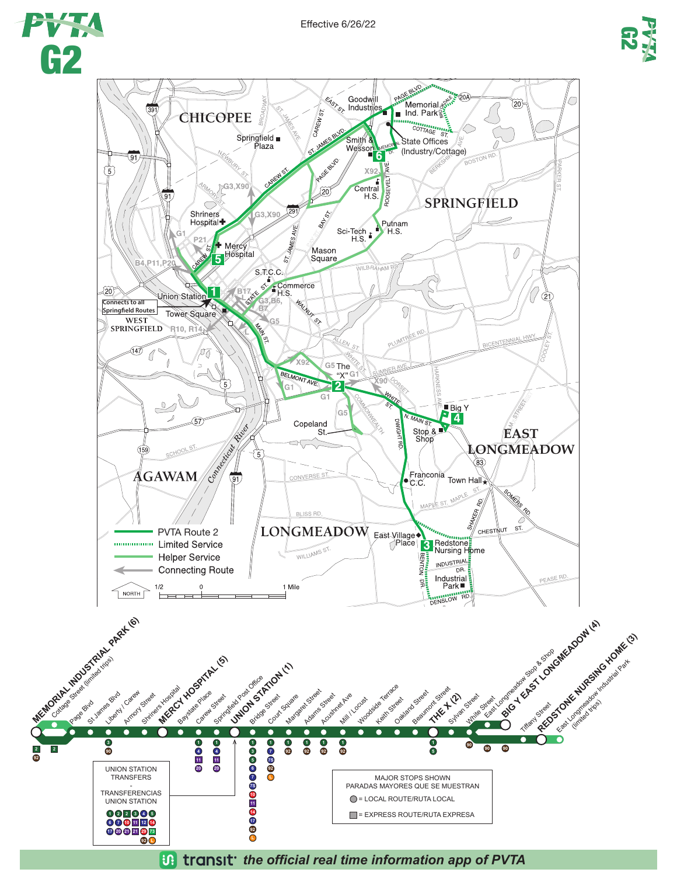

**92**

**2 2**





*the official real time information app of PVTA*